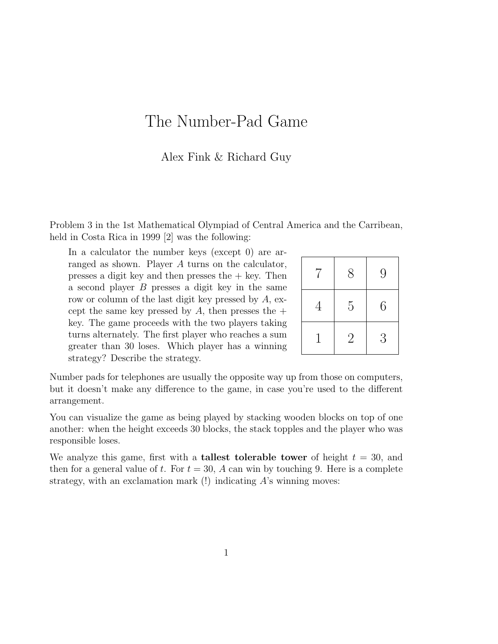## The Number-Pad Game

## Alex Fink & Richard Guy

Problem 3 in the 1st Mathematical Olympiad of Central America and the Carribean, held in Costa Rica in 1999 [2] was the following:

In a calculator the number keys (except 0) are arranged as shown. Player A turns on the calculator, presses a digit key and then presses the  $+$  key. Then a second player B presses a digit key in the same row or column of the last digit key pressed by  $A$ , except the same key pressed by A, then presses the  $+$ key. The game proceeds with the two players taking turns alternately. The first player who reaches a sum greater than 30 loses. Which player has a winning strategy? Describe the strategy.

| 7              | 8              | 9 |
|----------------|----------------|---|
| $\overline{4}$ | $\overline{5}$ | 6 |
| $\mathbf{1}$   | $\sqrt{2}$     | 3 |

Number pads for telephones are usually the opposite way up from those on computers, but it doesn't make any difference to the game, in case you're used to the different arrangement.

You can visualize the game as being played by stacking wooden blocks on top of one another: when the height exceeds 30 blocks, the stack topples and the player who was responsible loses.

We analyze this game, first with a **tallest tolerable tower** of height  $t = 30$ , and then for a general value of t. For  $t = 30$ , A can win by touching 9. Here is a complete strategy, with an exclamation mark  $(!)$  indicating A's winning moves: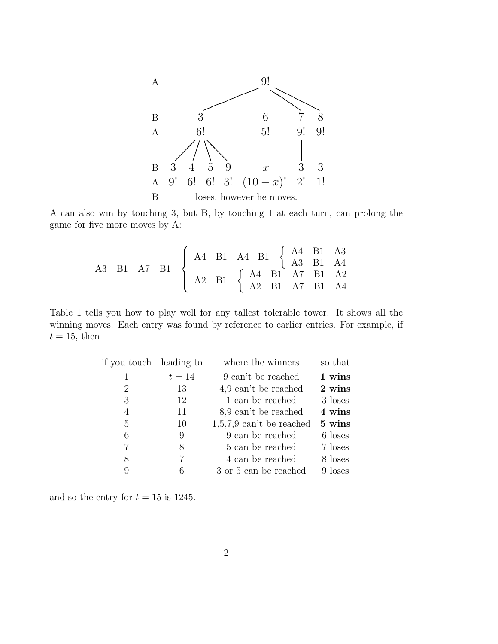

A can also win by touching 3, but B, by touching 1 at each turn, can prolong the game for five more moves by A:

$$
\begin{array}{ccccccccc}\n\text{A3} & \text{B1} & \text{A7} & \text{B1} & & \begin{cases}\n\text{A4} & \text{B1} & \text{A4} & \text{B1} & \begin{cases}\n\text{A4} & \text{B1} & \text{A3} & \text{B1} & \text{A4} \\
\text{A2} & \text{B1} & & \begin{cases}\n\text{A4} & \text{B1} & \text{A7} & \text{B1} & \text{A2} \\
\text{A2} & \text{B1} & \text{A7} & \text{B1} & \text{A4}\n\end{cases}\n\end{array}\n\end{array}
$$

Table 1 tells you how to play well for any tallest tolerable tower. It shows all the winning moves. Each entry was found by reference to earlier entries. For example, if  $t = 15$ , then

| if you touch leading to |        | where the winners              | so that |
|-------------------------|--------|--------------------------------|---------|
| 1                       | $t=14$ | 9 can't be reached             | 1 wins  |
| 2                       | 13     | $4.9 \text{ can't be reached}$ | 2 wins  |
| 3                       | 12     | 1 can be reached               | 3 loses |
| 4                       | 11     | 8,9 can't be reached           | 4 wins  |
| 5                       | 10     | $1,5,7,9$ can't be reached     | 5 wins  |
| 6                       | 9      | 9 can be reached               | 6 loses |
| 7                       | 8      | 5 can be reached               | 7 loses |
| 8                       | 7      | 4 can be reached               | 8 loses |
| 9                       |        | 3 or 5 can be reached          | 9 loses |

and so the entry for  $t = 15$  is 1245.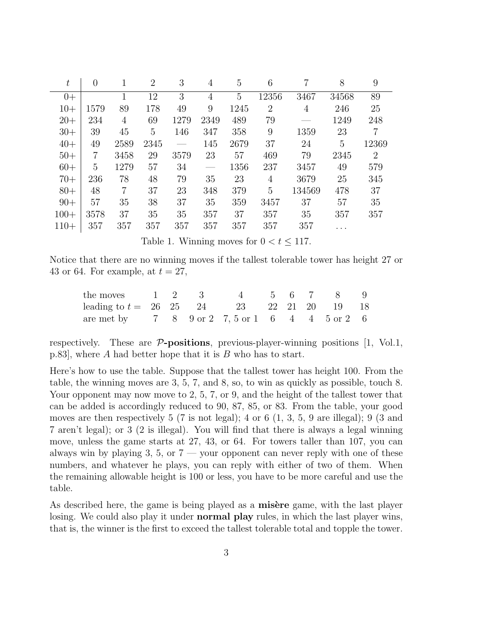| $t\,$  | $\theta$       |                | $\overline{2}$ | 3    | 4    | 5    | 6              |        | 8     | 9              |
|--------|----------------|----------------|----------------|------|------|------|----------------|--------|-------|----------------|
| $0+$   |                | 1              | 12             | 3    | 4    | 5    | 12356          | 3467   | 34568 | 89             |
| $10+$  | 1579           | 89             | 178            | 49   | 9    | 1245 | $\overline{2}$ | 4      | 246   | 25             |
| $20+$  | 234            | 4              | 69             | 1279 | 2349 | 489  | 79             |        | 1249  | 248            |
| $30+$  | 39             | 45             | 5              | 146  | 347  | 358  | 9              | 1359   | 23    | $\overline{7}$ |
| $40+$  | 49             | 2589           | 2345           |      | 145  | 2679 | 37             | 24     | 5     | 12369          |
| $50+$  | $\overline{7}$ | 3458           | 29             | 3579 | 23   | 57   | 469            | 79     | 2345  | $\overline{2}$ |
| $60+$  | 5              | 1279           | 57             | 34   |      | 1356 | 237            | 3457   | 49    | 579            |
| $70+$  | 236            | 78             | 48             | 79   | 35   | 23   | 4              | 3679   | 25    | 345            |
| $80+$  | 48             | $\overline{7}$ | 37             | 23   | 348  | 379  | $\overline{5}$ | 134569 | 478   | 37             |
| $90+$  | 57             | 35             | 38             | 37   | 35   | 359  | 3457           | 37     | 57    | 35             |
| $100+$ | 3578           | 37             | 35             | 35   | 357  | 37   | 357            | 35     | 357   | 357            |
| $110+$ | 357            | 357            | 357            | 357  | 357  | 357  | 357            | 357    |       |                |

Table 1. Winning moves for  $0 < t \leq 117$ .

Notice that there are no winning moves if the tallest tolerable tower has height 27 or 43 or 64. For example, at  $t = 27$ ,

| the moves 1 2 3 4 5 6 7 8 9                                 |  |  |  |  |  |
|-------------------------------------------------------------|--|--|--|--|--|
| leading to $t = 26$ $25$ $24$ $23$ $22$ $21$ $20$ $19$ $18$ |  |  |  |  |  |
| are met by $789$ or $27,5$ or $1644$ $45$ or $26$           |  |  |  |  |  |

respectively. These are  $\mathcal{P}\text{-positions}$ , previous-player-winning positions [1, Vol.1, p.83, where A had better hope that it is  $B$  who has to start.

Here's how to use the table. Suppose that the tallest tower has height 100. From the table, the winning moves are 3, 5, 7, and 8, so, to win as quickly as possible, touch 8. Your opponent may now move to 2, 5, 7, or 9, and the height of the tallest tower that can be added is accordingly reduced to 90, 87, 85, or 83. From the table, your good moves are then respectively 5 (7 is not legal); 4 or 6 (1, 3, 5, 9 are illegal); 9 (3 and 7 aren't legal); or 3 (2 is illegal). You will find that there is always a legal winning move, unless the game starts at 27, 43, or 64. For towers taller than 107, you can always win by playing 3, 5, or  $7$  — your opponent can never reply with one of these numbers, and whatever he plays, you can reply with either of two of them. When the remaining allowable height is 100 or less, you have to be more careful and use the table.

As described here, the game is being played as a **misère** game, with the last player losing. We could also play it under **normal play** rules, in which the last player wins, that is, the winner is the first to exceed the tallest tolerable total and topple the tower.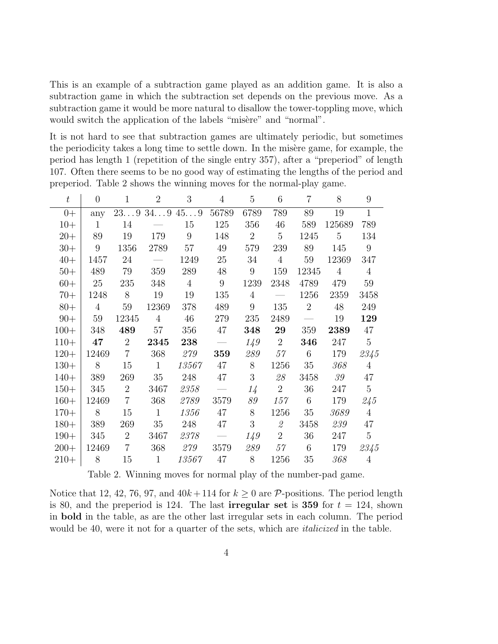This is an example of a subtraction game played as an addition game. It is also a subtraction game in which the subtraction set depends on the previous move. As a subtraction game it would be more natural to disallow the tower-toppling move, which would switch the application of the labels "misère" and "normal".

It is not hard to see that subtraction games are ultimately periodic, but sometimes the periodicity takes a long time to settle down. In the misère game, for example, the period has length 1 (repetition of the single entry 357), after a "preperiod" of length 107. Often there seems to be no good way of estimating the lengths of the period and preperiod. Table 2 shows the winning moves for the normal-play game.

| $t\,$  | $\theta$       | $\mathbf{1}$   | $\overline{2}$    | 3              | $\overline{4}$ | 5               | 6                                                         | 7              | 8              | 9               |
|--------|----------------|----------------|-------------------|----------------|----------------|-----------------|-----------------------------------------------------------|----------------|----------------|-----------------|
| $0+$   | any            |                | $239$ $349$ $459$ |                | 56789          | 6789            | 789                                                       | 89             | 19             | $\mathbf{1}$    |
| $10+$  | $\mathbf{1}$   | 14             |                   | 15             | 125            | 356             | 46                                                        | 589            | 125689         | 789             |
| $20+$  | 89             | 19             | 179               | 9              | 148            | $\overline{2}$  | $5\overline{)}$                                           | 1245           | $\overline{5}$ | 134             |
| $30+$  | $9\phantom{.}$ | 1356           | 2789              | 57             | 49             | 579             | 239                                                       | 89             | 145            | $9\phantom{.0}$ |
| $40+$  | 1457           | 24             |                   | 1249           | 25             | 34              | $\overline{4}$                                            | $59\,$         | 12369          | 347             |
| $50+$  | 489            | 79             | 359               | 289            | $48\,$         | $9\phantom{.0}$ | 159                                                       | 12345          | $\overline{4}$ | $\overline{4}$  |
| $60+$  | 25             | 235            | 348               | $\overline{4}$ | 9              | 1239            | 2348                                                      | 4789           | 479            | 59              |
| $70+$  | 1248           | 8              | 19                | 19             | 135            | $\overline{4}$  | $\overline{\phantom{a}}$                                  | 1256           | 2359           | 3458            |
| $80+$  | $\overline{4}$ | 59             | 12369             | 378            | 489            | 9               | 135                                                       | $\overline{2}$ | 48             | 249             |
| $90+$  | $59\,$         | 12345          | $\overline{4}$    | 46             | 279            | 235             | 2489                                                      | $\frac{1}{1}$  | 19             | 129             |
| $100+$ | 348            | 489            | 57                | 356            | 47             | 348             | 29                                                        | 359            | 2389           | 47              |
| $110+$ | 47             | $\overline{2}$ | 2345              | 238            |                | 1/9             | $\overline{2}$                                            | 346            | 247            | $\overline{5}$  |
| $120+$ | 12469          | $\overline{7}$ | 368               | 279            | 359            | 289             | 57                                                        | $6\phantom{.}$ | 179            | 2345            |
| $130+$ | $8\,$          | 15             | $\mathbf{1}$      | 13567          | 47             | 8               | 1256                                                      | $35\,$         | 368            | $\overline{4}$  |
| $140+$ | 389            | 269            | 35                | 248            | 47             | 3               | 28                                                        | 3458           | 39             | 47              |
| $150+$ | 345            | $\overline{2}$ | 3467              | 2358           |                | $1\frac{1}{2}$  | $\overline{2}$                                            | 36             | 247            | $\mathbf 5$     |
| $160+$ | 12469          | $\overline{7}$ | 368               | 2789           | 3579           | 89              | 157                                                       | 6              | 179            | 245             |
| $170+$ | 8              | 15             | $\mathbf{1}$      | 1356           | 47             | 8               | 1256                                                      | 35             | 3689           | $\overline{4}$  |
| $180+$ | 389            | 269            | 35                | 248            | 47             | 3               | $\mathcal{Q}% _{M_{1},M_{2}}^{\alpha,\beta}(\varepsilon)$ | 3458           | 239            | 47              |
| $190+$ | 345            | $\overline{2}$ | 3467              | 2378           |                | 1/9             | $\overline{2}$                                            | 36             | 247            | $\overline{5}$  |
| $200+$ | 12469          | $\overline{7}$ | 368               | 279            | 3579           | 289             | 57                                                        | 6              | 179            | $2345\,$        |
| $210+$ | 8              | 15             | $\mathbf{1}$      | 13567          | 47             | $8\,$           | 1256                                                      | 35             | 368            | $\overline{4}$  |

Table 2. Winning moves for normal play of the number-pad game.

Notice that 12, 42, 76, 97, and  $40k + 114$  for  $k \ge 0$  are P-positions. The period length is 80, and the preperiod is 124. The last **irregular set** is 359 for  $t = 124$ , shown in bold in the table, as are the other last irregular sets in each column. The period would be 40, were it not for a quarter of the sets, which are *italicized* in the table.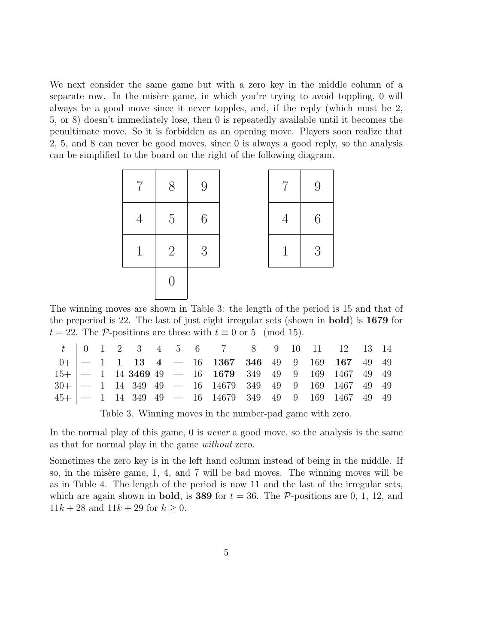We next consider the same game but with a zero key in the middle column of a separate row. In the misère game, in which you're trying to avoid toppling,  $\theta$  will always be a good move since it never topples, and, if the reply (which must be 2, 5, or 8) doesn't immediately lose, then 0 is repeatedly available until it becomes the penultimate move. So it is forbidden as an opening move. Players soon realize that 2, 5, and 8 can never be good moves, since 0 is always a good reply, so the analysis can be simplified to the board on the right of the following diagram.



The winning moves are shown in Table 3: the length of the period is 15 and that of the preperiod is 22. The last of just eight irregular sets (shown in bold) is 1679 for  $t = 22$ . The P-positions are those with  $t \equiv 0$  or 5 (mod 15).

|  |  |  |  | $t$   0   1   2   3   4   5   6   6   7   8   8   9   10   11   12   13   14                                      |  |  |  |  |
|--|--|--|--|-------------------------------------------------------------------------------------------------------------------|--|--|--|--|
|  |  |  |  | $0+$   - 1 1 13 4 - 16 1367 346 49 9 169 167 49 49                                                                |  |  |  |  |
|  |  |  |  | $15 +$   $-$ 1 14 3469 49 $-$ 16 1679 349 49 9 169 1467 49 49                                                     |  |  |  |  |
|  |  |  |  | $30 +$   - 1 14 349 49 - 16 14679 349 49 9 169 1467 49 49                                                         |  |  |  |  |
|  |  |  |  | $45 + \begin{vmatrix} - & 1 & 14 & 349 & 49 & - & 16 & 14679 & 349 & 49 & 9 & 169 & 1467 & 49 & 49 \end{vmatrix}$ |  |  |  |  |

Table 3. Winning moves in the number-pad game with zero.

In the normal play of this game, 0 is *never* a good move, so the analysis is the same as that for normal play in the game without zero.

Sometimes the zero key is in the left hand column instead of being in the middle. If so, in the misère game, 1, 4, and 7 will be bad moves. The winning moves will be as in Table 4. The length of the period is now 11 and the last of the irregular sets, which are again shown in **bold**, is **389** for  $t = 36$ . The P-positions are 0, 1, 12, and  $11k + 28$  and  $11k + 29$  for  $k \ge 0$ .